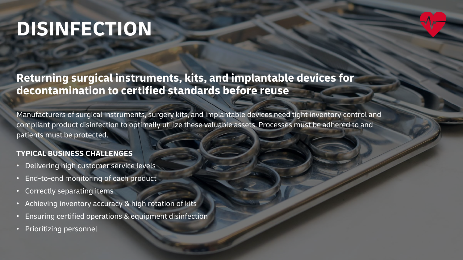# **DISINFECTION**

# **Returning surgical instruments, kits, and implantable devices for decontamination to certified standards before reuse**

Manufacturers of surgical instruments, surgery kits, and implantable devices need tight inventory control and compliant product disinfection to optimally utilize these valuable assets. Processes must be adhered to and patients must be protected.

## **TYPICAL BUSINESS CHALLENGES**

- Delivering high customer service levels
- End-to-end monitoring of each product
- Correctly separating items
- Achieving inventory accuracy & high rotation of kits
- Ensuring certified operations & equipment disinfection
- Prioritizing personnel